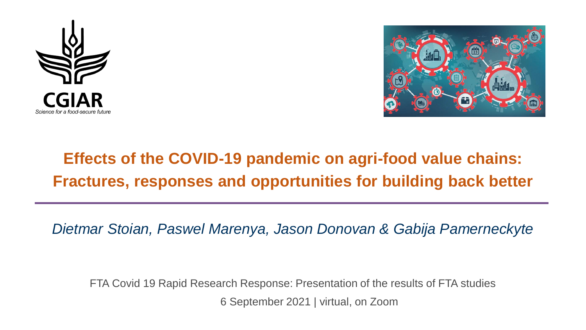



## **Effects of the COVID-19 pandemic on agri-food value chains: Fractures, responses and opportunities for building back better**

*Dietmar Stoian, Paswel Marenya, Jason Donovan & Gabija Pamerneckyte*

FTA Covid 19 Rapid Research Response: Presentation of the results of FTA studies 6 September 2021 | virtual, on Zoom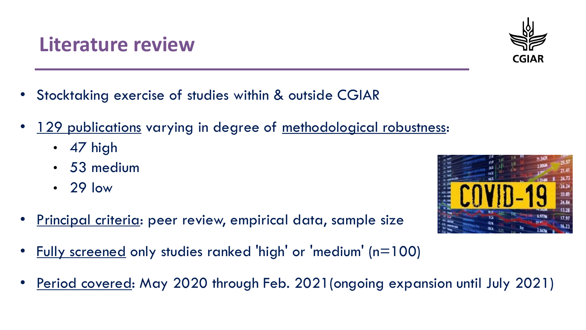- Stocktaking exercise of studies within & outside CGIAR
- 129 publications varying in degree of methodological robustness:
	- 47 high
	- 53 medium
	- 29 low
- Principal criteria: peer review, empirical data, sample size
	- Fully screened only studies ranked 'high' or 'medium' (n=100)
- Period covered: May 2020 through Feb. 2021 (ongoing expansion until July 2021)





# **Literature review**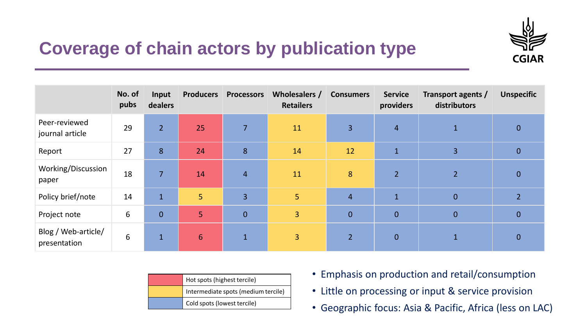

### **Coverage of chain actors by publication type**

|                                     | No. of<br>pubs | Input<br>dealers | <b>Producers</b> | <b>Processors</b> | Wholesalers /<br><b>Retailers</b> | <b>Consumers</b> | <b>Service</b><br>providers | Transport agents /<br>distributors | <b>Unspecific</b>        |
|-------------------------------------|----------------|------------------|------------------|-------------------|-----------------------------------|------------------|-----------------------------|------------------------------------|--------------------------|
| Peer-reviewed<br>journal article    | 29             | $\overline{2}$   | 25               | $\overline{7}$    | 11                                | $\overline{3}$   | $\overline{4}$              | $\mathbf{1}$                       | $\mathbf{0}$             |
| Report                              | 27             | 8                | 24               | 8                 | 14                                | 12               | $\mathbf{1}$                | 3                                  | $\mathbf{0}$             |
| Working/Discussion<br>paper         | 18             | $\overline{7}$   | 14               | $\overline{4}$    | 11                                | 8                | $\overline{2}$              | 2 <sup>1</sup>                     | $\overline{0}$           |
| Policy brief/note                   | 14             | $\mathbf{1}$     | 5                | $\overline{3}$    | 5                                 | $\overline{4}$   | $\mathbf{1}$                | $\overline{0}$                     | $\overline{\mathcal{L}}$ |
| Project note                        | 6              | $\mathbf{0}$     | 5                | $\mathbf 0$       | $\overline{3}$                    | $\mathbf 0$      | $\overline{0}$              | $\overline{0}$                     | $\overline{0}$           |
| Blog / Web-article/<br>presentation | 6              | $\mathbf{1}$     | $6\phantom{1}$   | $\mathbf{1}$      | 3 <sup>1</sup>                    | $\overline{2}$   | $\mathbf{0}$                |                                    | 0                        |

| Hot spots (highest tercile)         |  |  |  |  |
|-------------------------------------|--|--|--|--|
| Intermediate spots (medium tercile) |  |  |  |  |
| Cold spots (lowest tercile)         |  |  |  |  |

- Emphasis on production and retail/consumption
- Little on processing or input & service provision
- Geographic focus: Asia & Pacific, Africa (less on LAC)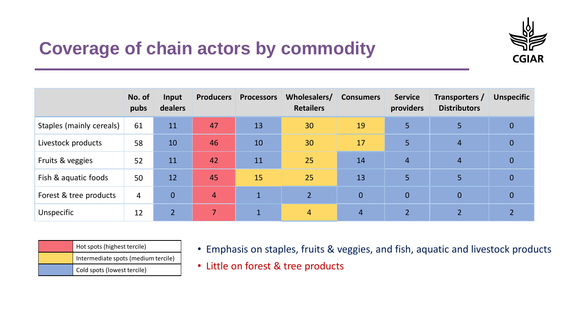

#### **Coverage of chain actors by commodity**

|                          | No. of<br>pubs | Input<br>dealers | <b>Producers</b> | <b>Processors</b> | Wholesalers/<br><b>Retailers</b> | <b>Consumers</b> | <b>Service</b><br>providers | Transporters /<br><b>Distributors</b> | <b>Unspecific</b> |
|--------------------------|----------------|------------------|------------------|-------------------|----------------------------------|------------------|-----------------------------|---------------------------------------|-------------------|
| Staples (mainly cereals) | 61             | 11               | 47               | 13                | 30                               | 19               | 5                           | 5                                     | $\mathbf{0}$      |
| Livestock products       | 58             | 10               | 46               | 10                | 30                               | 17               | 5                           | $\overline{4}$                        | $\overline{0}$    |
| Fruits & veggies         | 52             | 11               | 42               | 11                | 25                               | 14               | $\overline{4}$              | $\overline{4}$                        | $\overline{0}$    |
| Fish & aquatic foods     | 50             | 12               | 45               | 15                | 25                               | 13               | 5                           | 5                                     | $\overline{0}$    |
| Forest & tree products   | $\overline{4}$ | $\overline{0}$   | $\overline{4}$   | $\mathbf{1}$      | $\overline{2}$                   | $\overline{0}$   | $\overline{0}$              | $\mathbf{0}$                          | $\overline{0}$    |
| Unspecific               | 12             | $\overline{2}$   |                  | $\mathbf{1}$      | $\overline{4}$                   | $\overline{4}$   | 2 <sup>1</sup>              |                                       |                   |

| Hot spots (highest tercile)         |  |  |  |
|-------------------------------------|--|--|--|
| Intermediate spots (medium tercile) |  |  |  |
| Cold spots (lowest tercile)         |  |  |  |

- Emphasis on staples, fruits & veggies, and fish, aquatic and livestock products
- Little on forest & tree products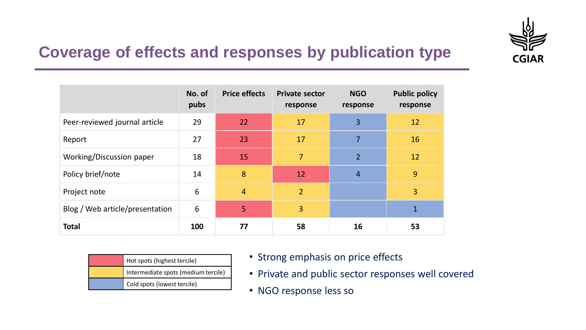

#### **Coverage of effects and responses by publication type**

|                                 | No. of<br>pubs | <b>Price effects</b> | <b>Private sector</b><br>response | <b>NGO</b><br>response | <b>Public policy</b><br>response |
|---------------------------------|----------------|----------------------|-----------------------------------|------------------------|----------------------------------|
| Peer-reviewed journal article   | 29             | 22                   | 17                                | 3                      | 12                               |
| Report                          | 27             | 23                   | 17                                | $\overline{7}$         | 16                               |
| Working/Discussion paper        | 18             | 15                   | 7                                 | $\overline{2}$         | 12                               |
| Policy brief/note               | 14             | 8                    | 12                                | $\overline{4}$         | 9                                |
| Project note                    | 6              | $\overline{4}$       | $\overline{2}$                    |                        | 3                                |
| Blog / Web article/presentation | 6              | $\vert 5 \vert$      | 3                                 |                        | $\mathbf{1}$                     |
| <b>Total</b>                    | 100            | 77                   | 58                                | 16                     | 53                               |

| Hot spots (highest tercile)         |  |  |  |  |
|-------------------------------------|--|--|--|--|
| Intermediate spots (medium tercile) |  |  |  |  |
| Cold spots (lowest tercile)         |  |  |  |  |

- Strong emphasis on price effects
- Private and public sector responses well covered
- NGO response less so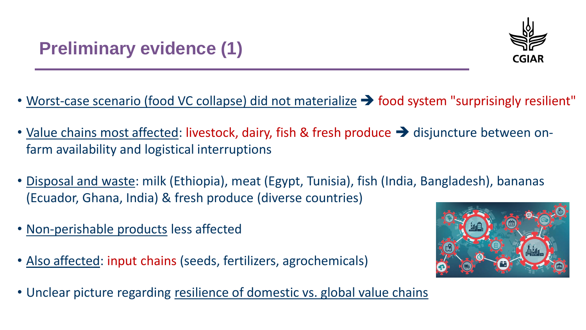

- Worst-case scenario (food VC collapse) did not materialize  $\rightarrow$  food system "surprisingly resilient"
- Value chains most affected: livestock, dairy, fish & fresh produce  $\rightarrow$  disjuncture between onfarm availability and logistical interruptions
- Disposal and waste: milk (Ethiopia), meat (Egypt, Tunisia), fish (India, Bangladesh), bananas (Ecuador, Ghana, India) & fresh produce (diverse countries)
- Non-perishable products less affected
- Also affected: input chains (seeds, fertilizers, agrochemicals)



• Unclear picture regarding resilience of domestic vs. global value chains